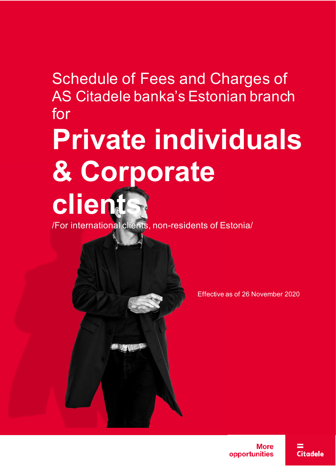# Schedule of Fees and Charges of AS Citadele banka's Estonian branch for

# **Private individuals & Corporate clients**

/For international clients, non-residents of Estonia/

Effective as of 26 November 2020

More opportunities

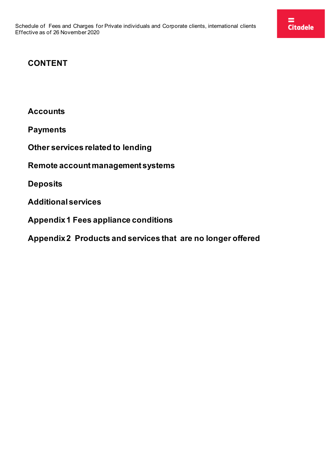### **CONTENT**

**[Accounts](#page-2-0)**

**[Payments](#page-2-1)**

**[Other services related to lending](#page-4-0)**

**[Remote account management systems](#page-6-0)**

**[Deposits](#page-6-1)**

**[Additional services](#page-7-0)**

**[Appendix 1 Fees appliance conditions](#page-8-0)**

**[Appendix 2 Products and services that are no longer offered](#page-10-0)**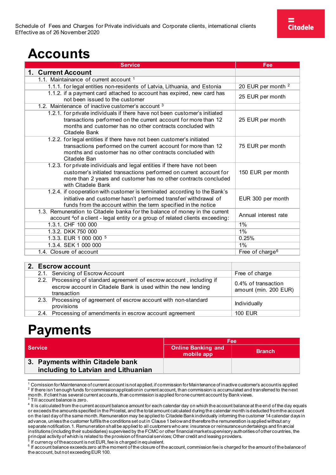### <span id="page-2-0"></span>**Accounts**

| <b>Service</b>                                                                                                                                                                                                       | Fee                           |
|----------------------------------------------------------------------------------------------------------------------------------------------------------------------------------------------------------------------|-------------------------------|
| 1. Current Account                                                                                                                                                                                                   |                               |
| 1.1. Maintainance of current account 1                                                                                                                                                                               |                               |
| 1.1.1. for legal entities non-residents of Latvia, Lithuania, and Estonia                                                                                                                                            | 20 EUR per month <sup>2</sup> |
| 1.1.2. if a payment card attached to account has expired, new card has<br>not been issued to the customer                                                                                                            | 25 EUR per month              |
| 1.2. Maintenance of inactive customer's account 3                                                                                                                                                                    |                               |
| 1.2.1. for private individuals if there have not been customer's initiated                                                                                                                                           |                               |
| transactions performed on the current account for more than 12<br>months and customer has no other contracts concluded with<br>Citadele Bank                                                                         | 25 EUR per month              |
| 1.2.2. for legal entities if there have not been customer's initiated<br>transactions performed on the current account for more than 12<br>months and customer has no other contracts concluded with<br>Citadele Ban | 75 EUR per month              |
| 1.2.3. for private individuals and legal entities if there have not been                                                                                                                                             |                               |
| customer's initiated transactions performed on current account for<br>more than 2 years and customer has no other contracts concluded<br>with Citadele Bank                                                          | 150 EUR per month             |
| 1.2.4. if cooperation with customer is terminated according to the Bank's<br>initiative and customer hasn't performed transfer/ withdrawal of<br>funds from the account within the term specified in the notice      | EUR 300 per month             |
| 1.3. Remuneration to Citadele banka for the balance of money in the current<br>account <sup>4</sup> of a client - legal entity or a group of related clients exceeding:                                              | Annual interest rate          |
| 1.3.1. CHF 100 000                                                                                                                                                                                                   | 1%                            |
| 1.3.2. DKK 750 000                                                                                                                                                                                                   | $1\%$                         |
| 1.3.3. EUR 1 000 000 5                                                                                                                                                                                               | 0.25%                         |
| 1.3.4. SEK 1 000 000                                                                                                                                                                                                 | $1\%$                         |
| 1.4. Closure of account                                                                                                                                                                                              | Free of charge <sup>6</sup>   |

|  | 2. Escrow account                                                                                                                                      |                                              |
|--|--------------------------------------------------------------------------------------------------------------------------------------------------------|----------------------------------------------|
|  | 2.1. Servicing of Escrow Account                                                                                                                       | Free of charge                               |
|  | 2.2. Processing of standard agreement of escrow account, including if<br>escrow account in Citadele Bank is used within the new lending<br>transaction | 0.4% of transaction<br>amount (min. 200 EUR) |
|  | 2.3. Processing of agreement of escrow account with non-standard<br>provisions                                                                         | Individually                                 |
|  | 2.4. Processing of amendments in escrow account agreement                                                                                              | <b>100 EUR</b>                               |

### <span id="page-2-1"></span>**Payments**

|                                                                         | Fee                                     |               |
|-------------------------------------------------------------------------|-----------------------------------------|---------------|
| <b>Service</b>                                                          | <b>Online Banking and</b><br>mobile app | <b>Branch</b> |
| 3. Payments within Citadele bank<br>including to Latvian and Lithuanian |                                         |               |

<span id="page-2-3"></span><span id="page-2-2"></span> $^1$  Comission for Maintenance of current account is not applied, if commission for Maintenance of inactive customer's account is applied  $^2$  If there isn't enough funds for commission applied by current account, than co

month. If client has several current accounts, than commission is applied for one current account by Bank views. <sup>3</sup> Till account balance is zero.

<span id="page-2-5"></span><span id="page-2-4"></span><sup>&</sup>lt;sup>4</sup> It is calculated from the current account balance amount for each calendar day on which the account balance at the end of the day equals or exceeds the amounts specified in the Pricelist, and the total amount calculated during the calendar month is deducted from the account on the last day of the same month. Remuneration may be applied to Citadele Bank individually informing the customer 14 calendar days in advance, unless the customer fulfills the conditions set out in Clause 1 below and therefore the remuneration is applied without any separate notification. 1. Remuneration shall be applied to all customers who are: insurance or reinsurance undertakings and financial institutions (including their subsidiaries) supervised by the FCMC or other financial market supervisory authorities of other countries, the principal activity of which is related to the provision of financial services; Other credit and leasing providers.<br>In further counting the account is not EUR, fee is charged in equivalent.

<span id="page-2-7"></span><span id="page-2-6"></span><sup>&</sup>lt;sup>6</sup> If account balance exceeds zero at the moment of the closure of the account, commission fee is charged for the amount of the balance of the account, but not exceeding EUR 100.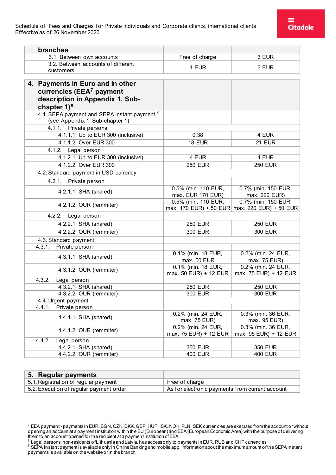| branches                                                       |                                             |                                               |
|----------------------------------------------------------------|---------------------------------------------|-----------------------------------------------|
| 3.1. Between own accounts                                      | Free of charge                              | 3 EUR                                         |
| 3.2. Between accounts of different                             | 1 EUR                                       | 3 EUR                                         |
| customers                                                      |                                             |                                               |
| 4. Payments in Euro and in other                               |                                             |                                               |
| currencies (EEA <sup>7</sup> payment                           |                                             |                                               |
| description in Appendix 1, Sub-                                |                                             |                                               |
|                                                                |                                             |                                               |
| chapter $1)^8$<br>4.1. SEPA payment and SEPA instant payment 9 |                                             |                                               |
| (see Appendix 1, Sub-chapter 1)                                |                                             |                                               |
| 4.1.1. Private persons                                         |                                             |                                               |
| 4.1.1.1. Up to EUR 300 (inclusive)                             | 0.38                                        | 4 EUR                                         |
| 4.1.1.2. Over EUR 300                                          | <b>18 EUR</b>                               | 21 EUR                                        |
| 4.1.2. Legal person                                            |                                             |                                               |
| 4.1.2.1. Up to EUR 300 (inclusive)                             | 4 EUR                                       | 4 EUR                                         |
| 4.1.2.2. Over EUR 300                                          | <b>250 EUR</b>                              | <b>250 EUR</b>                                |
| 4.2. Standard payment in USD currency                          |                                             |                                               |
| 4.2.1.<br>Private person                                       |                                             |                                               |
| 4.2.1.1. SHA (shared)                                          | 0.5% (min. 110 EUR,                         | 0.7% (min. 150 EUR,                           |
|                                                                | max. EUR 170 EUR)                           | max. 220 EUR)                                 |
| 4.2.1.2. OUR (remmiter)                                        | 0.5% (min. 110 EUR,                         | 0.7% (min. 150 EUR,                           |
| 4.2.2.                                                         |                                             | max. 170 EUR) + 50 EUR max. 220 EUR) + 50 EUR |
| Legal person                                                   |                                             |                                               |
| 4.2.2.1. SHA (shared)                                          | <b>250 EUR</b>                              | <b>250 EUR</b>                                |
| 4.2.2.2. OUR (remmiter)                                        | <b>300 EUR</b>                              | 300 EUR                                       |
| 4.3. Standard payment                                          |                                             |                                               |
| 4.3.1.<br>Private person                                       |                                             |                                               |
| 4.3.1.1. SHA (shared)                                          | 0.1% (min. 18 EUR,<br>max. 50 EUR           | 0.2% (min. 24 EUR,<br>max. 75 EUR)            |
|                                                                | 0.1% (min. 18 EUR,                          | 0.2% (min. 24 EUR,                            |
| 4.3.1.2. OUR (remmiter)                                        | max. 50 EUR) + 12 EUR                       | max. 75 EUR) + 12 EUR                         |
| 4.3.2.<br>Legal person                                         |                                             |                                               |
| 4.3.2.1. SHA (shared)                                          | <b>250 EUR</b>                              | <b>250 EUR</b>                                |
| 4.3.2.2. OUR (remmiter)                                        | 300 EUR                                     | 300 EUR                                       |
| 4.4. Urgent payment                                            |                                             |                                               |
| 4.4.1.<br>Private person                                       |                                             |                                               |
| 4.4.1.1. SHA (shared)                                          | 0.2% (min. 24 EUR,<br>max. 75 EUR)          | 0.3% (min. 36 EUR,<br>max. 95 EUR)            |
| 4.4.1.2. OUR (remmiter)                                        | 0.2% (min. 24 EUR,<br>max. 75 EUR) + 12 EUR | 0.3% (min. 36 EUR,<br>max. 95 EUR) + 12 EUR   |
| 4.4.2.<br>Legal person                                         |                                             |                                               |
| 4.4.2.1. SHA (shared)                                          | 350 EUR                                     | 350 EUR                                       |
| 4.4.2.2. OUR (remmiter)                                        | 400 EUR                                     | 400 EUR                                       |

| 5. Regular payments                     |                                                 |
|-----------------------------------------|-------------------------------------------------|
| 5.1. Registration of regular payment    | Free of charge                                  |
| 5.2. Execution of regular payment order | As for electronic payments from current account |

<span id="page-3-0"></span> $^7$  EEA payment - payments in EUR, BGN, CZK, DKK, GBP, HUF, ISK, NOK, PLN, SEK currencies are executed from the account or without opening an account at a payment institution within the EU (European) and EEA (European Economic Area) with the purpose of delivering them to an account opened for the recipient at a payment institution of EEA.

<span id="page-3-2"></span><span id="page-3-1"></span><sup>&</sup>lt;sup>8</sup> Legal persons, non-residents ofLithuania and Latvia, has access only to payments in EUR, RUB and CHF currencies.<br><sup>9</sup> SEPA instant payment is available only in Online Banking and mobile app. Information about the maximu payments is available on the website or in the branch.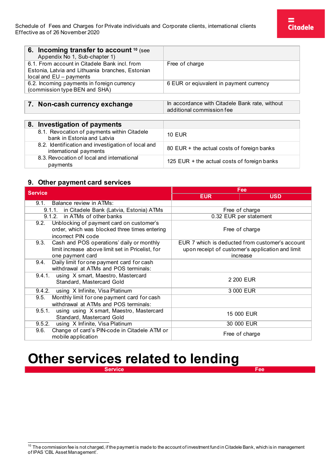| Free of charge                                 |
|------------------------------------------------|
|                                                |
| 6 EUR or eqiuvalent in payment currency        |
|                                                |
| In accordance with Citadele Bank rate, without |
| additional commission fee                      |
|                                                |
|                                                |
| <b>10 EUR</b>                                  |
| 80 EUR + the actual costs of foreign banks     |
| 125 EUR + the actual costs of foreign banks    |
|                                                |

#### **9. Other payment card services**

| <b>Service</b>                                       | Fee                                              |  |
|------------------------------------------------------|--------------------------------------------------|--|
|                                                      | <b>USD</b><br><b>EUR</b>                         |  |
| Balance review in ATMs:<br>9.1.                      |                                                  |  |
| in Citadele Bank (Latvia, Estonia) ATMs<br>9.1.1.    | Free of charge                                   |  |
| 9.1.2. in ATMs of other banks                        | 0.32 EUR per statement                           |  |
| Unblocking of payment card on customer's<br>9.2.     |                                                  |  |
| order, which was blocked three times entering        | Free of charge                                   |  |
| incorrect PIN code                                   |                                                  |  |
| 9.3.<br>Cash and POS operations' daily or monthly    | EUR 7 which is deducted from customer's account  |  |
| limit increase above limit set in Pricelist, for     | upon receipt of customer's application and limit |  |
| one payment card                                     | increase                                         |  |
| Daily limit for one payment card for cash<br>9.4.    |                                                  |  |
| withdrawal at ATMs and POS terminals:                |                                                  |  |
| using X smart, Maestro, Mastercard<br>9.4.1.         |                                                  |  |
| Standard, Mastercard Gold                            | 2 200 EUR                                        |  |
| 9.4.2.<br>using X Infinite, Visa Platinum            | 3 000 EUR                                        |  |
| Monthly limit for one payment card for cash<br>9.5.  |                                                  |  |
| withdrawal at ATMs and POS terminals:                |                                                  |  |
| 9.5.1.<br>using using X smart, Maestro, Mastercard   | 15 000 EUR                                       |  |
| Standard, Mastercard Gold                            |                                                  |  |
| 9.5.2.<br>using X Infinite, Visa Platinum            | 30 000 EUR                                       |  |
| Change of card's PIN-code in Citadele ATM or<br>9.6. | Free of charge                                   |  |
| mobile application                                   |                                                  |  |

### <span id="page-4-0"></span>**Other services related to lending**

**Service Fee**

<span id="page-4-1"></span> $^{10}$  The commission fee is not charged, if the payment is made to the account of investment fund in Citadele Bank, which is in management of IPAS 'CBL Asset Management'.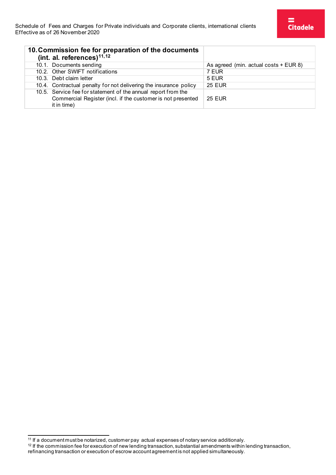| 10. Commission fee for preparation of the documents<br>(int. al. references) $11,12$ |                                         |
|--------------------------------------------------------------------------------------|-----------------------------------------|
| 10.1. Documents sending                                                              | As agreed (min. actual costs $+$ EUR 8) |
| 10.2. Other SWIFT notifications                                                      | 7 EUR                                   |
| 10.3. Debt claim letter                                                              | 5 EUR                                   |
| 10.4. Contractual penalty for not delivering the insurance policy                    | <b>25 EUR</b>                           |
| 10.5. Service fee for statement of the annual report from the                        |                                         |
| Commercial Register (incl. if the customer is not presented<br>it in time)           | <b>25 EUR</b>                           |

<span id="page-5-1"></span><span id="page-5-0"></span> $11$  If a document must be notarized, customer pay actual expenses of notary service additionaly.

 $12$  If the commission fee for execution of new lending transaction, substantial amendments within lending transaction,

refinancing transaction or execution of escrow account agreement is not applied simultaneously.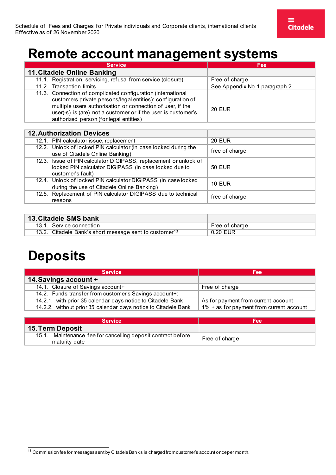## <span id="page-6-0"></span>**Remote account management systems**

| <b>Service</b>                                                                                                                                                                                                                                                                                       | Fee                           |
|------------------------------------------------------------------------------------------------------------------------------------------------------------------------------------------------------------------------------------------------------------------------------------------------------|-------------------------------|
| 11. Citadele Online Banking                                                                                                                                                                                                                                                                          |                               |
| 11.1. Registration, servicing, refusal from service (closure)                                                                                                                                                                                                                                        | Free of charge                |
| 11.2. Transaction limits                                                                                                                                                                                                                                                                             | See Appendix No 1 paragraph 2 |
| 11.3. Connection of complicated configuration (international<br>customers private persons/legal entities): configuration of<br>multiple users authorisation or connection of user, if the<br>user(-s) is (are) not a customer or if the user is customer's<br>authorized person (for legal entities) | <b>20 EUR</b>                 |

| <b>12. Authorization Devices</b>                                 |                |
|------------------------------------------------------------------|----------------|
| 12.1. PIN calculator issue, replacement                          | <b>20 EUR</b>  |
| 12.2. Unlock of locked PIN calculator (in case locked during the | free of charge |
| use of Citadele Online Banking)                                  |                |
| 12.3. Issue of PIN calculator DIGIPASS, replacement or unlock of |                |
| locked PIN calculator DIGIPASS (in case locked due to            | 50 EUR         |
| customer's fault)                                                |                |
| 12.4. Unlock of locked PIN calculator DIGIPASS (in case locked   | <b>10 EUR</b>  |
| during the use of Citadele Online Banking)                       |                |
| 12.5. Replacement of PIN calculator DIGIPASS due to technical    | free of charge |
| reasons                                                          |                |

| 13. Citadele SMS bank                                              |                |
|--------------------------------------------------------------------|----------------|
| 13.1. Service connection                                           | Free of charge |
| 13.2. Citadele Bank's short message sent to customer <sup>13</sup> | 0.20 EUR       |

# <span id="page-6-1"></span>**Deposits**

| <b>Service</b>                                                 | Fee                                      |
|----------------------------------------------------------------|------------------------------------------|
| 14. Savings account +                                          |                                          |
| 14.1. Closure of Savings account+                              | Free of charge                           |
| 14.2. Funds transfer from customer's Savings account+:         |                                          |
| 14.2.1. with prior 35 calendar days notice to Citadele Bank    | As for payment from current account      |
| 14.2.2. without prior 35 calendar days notice to Citadele Bank | 1% + as for payment from current account |

| <b>Service</b>                                                                | Fee            |
|-------------------------------------------------------------------------------|----------------|
| <b>15. Term Deposit</b>                                                       |                |
| 15.1. Maintenance fee for cancelling deposit contract before<br>maturity date | Free of charge |

<span id="page-6-2"></span><sup>&</sup>lt;sup>13</sup> Commission fee for messages sent by Citadele Bank's is charged from customer's account once per month.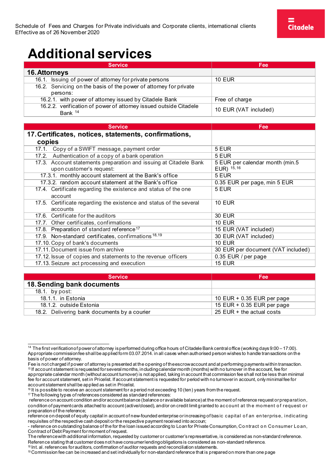# <span id="page-7-0"></span>**Additional services**

| <b>Service</b>                                                    | Fee                   |
|-------------------------------------------------------------------|-----------------------|
| <b>16. Attorneys</b>                                              |                       |
| 16.1. Issuing of power of attorney for private persons            | <b>10 EUR</b>         |
| 16.2. Servicing on the basis of the power of attorney for private |                       |
| persons:                                                          |                       |
| 16.2.1. with power of attorney issued by Citadele Bank            | Free of charge        |
| 16.2.2. verification of power of attorney issued outside Citadele | 10 EUR (VAT included) |
| Bank 14                                                           |                       |

| <b>Service</b>                                                      | Fee                                |
|---------------------------------------------------------------------|------------------------------------|
| 17. Certificates, notices, statements, confirmations,               |                                    |
| copies                                                              |                                    |
| 17.1. Copy of a SWIFT message, payment order                        | 5 EUR                              |
| 17.2. Authentication of a copy of a bank operation                  | 5 EUR                              |
| 17.3. Account statements preparation and issuing at Citadele Bank   | 5 EUR per calendar month (min.5    |
| upon customer's request:                                            | EUR) 15, 16                        |
| 17.3.1. monthly account statement at the Bank's office              | 5 EUR                              |
| 17.3.2. random account statement at the Bank's office               | 0.35 EUR per page, min 5 EUR       |
| 17.4. Certificate regarding the existence and status of the one     | 5 EUR                              |
| account                                                             |                                    |
| 17.5. Certificate regarding the existence and status of the several | <b>10 EUR</b>                      |
| accounts                                                            |                                    |
| 17.6. Certificate for the auditors                                  | <b>30 EUR</b>                      |
| 17.7. Other certificates, confirmations                             | <b>10 EUR</b>                      |
| 17.8. Preparation of standard reference <sup>17</sup>               | 15 EUR (VAT included)              |
| 17.9. Non-standard certificates, confirmations <sup>18,19</sup>     | 30 EUR (VAT included)              |
| 17.10. Copy of bank's documents                                     | <b>10 EUR</b>                      |
| 17.11. Document issue from archive                                  | 30 EUR per document (VAT included) |
| 17.12. Issue of copies and statements to the revenue officers       | 0.35 EUR / per page                |
| 17.13. Seizure act processing and execution                         | <b>15 EUR</b>                      |

| <b>Service</b>                               | <b>Fee</b>                   |
|----------------------------------------------|------------------------------|
| 18. Sending bank documents                   |                              |
| 18.1. by post:                               |                              |
| 18.1.1. in Estonia                           | 10 EUR $+$ 0.35 EUR per page |
| 18.1.2. outside Estonia                      | 15 EUR + 0.35 EUR per page   |
| 18.2. Delivering bank documents by a courier | 25 EUR $+$ the actual costs  |

17 The following types of references considered as standard references:

<span id="page-7-1"></span><sup>&</sup>lt;sup>14</sup> The first verification of power of attorney is performed during office hours of Citadele Bank central office (working days 9:00 – 17:00). Appropriate commission fee shall be applied form 03.07.2014. in all cases when authorised person wishes to handle transactions on the basis of power of attorney.

<span id="page-7-2"></span>Fee is not charged if power of attorney is presented at the opening of the escrow account and at performing payments within transaction. <sup>15</sup> If account statement is requested for several months, including calendar month (months) with no turnover in the account, fee for appropriate calendar month (without account turnover) is not applied, taking in account that commission fee shall not be less than minimal fee for account statement, set in Pricelist. If account statement is requested for period with no turnover in account, only minimal fee for account statement shall be applied as set in Pricelist.

<span id="page-7-3"></span><sup>16</sup> It is possible to receive an account statement for a period not exceeding 10 (ten) years from the request.

<span id="page-7-4"></span>reference on account condition and/or account balance (balance or available balance) at the moment of reference request or preparation, condition of payment cards attached to account (active/closed), and/or on credit limit granted to account at th e mo ment o f request or preparation of the reference;

reference on deposit of equity capital in account of new-founded enterprise or increasing of basic capital o f an en terprise, i ndicating requisites of the respective cash deposit or the respective payment received into accoun;

<sup>-</sup> reference on outstanding balance of the for the loan issued according to Loan for Private Consumption, Co ntract o n Co nsumer Lo an, Contract of Debt Payment for moment of request.

The reference with additional information, requested by customer or customer's representative, is considered as non-standard reference. Reference stating that customer does not have consumer lending obligations is considered as non-standard reference. <sup>18</sup> Int. al. references for auditors, confirmation of auditor requests and reconciliation statements.

<span id="page-7-6"></span><span id="page-7-5"></span><sup>19</sup> Commission fee can be increased and set individually for non-standard reference that is prepared on more than one page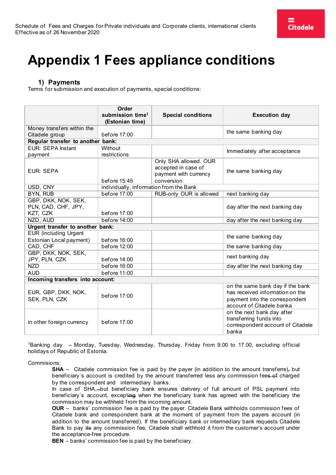# <span id="page-8-0"></span>**Appendix 1 Fees appliance conditions**

### **1) Payments**

Terms for submission and execution of payments, special conditions:

|                                                         | Order<br>submission time <sup>1</sup><br>(Estonian time) | <b>Special conditions</b>                                                           | <b>Execution day</b>                                                                                                               |  |  |
|---------------------------------------------------------|----------------------------------------------------------|-------------------------------------------------------------------------------------|------------------------------------------------------------------------------------------------------------------------------------|--|--|
| Money transfers within the                              |                                                          |                                                                                     |                                                                                                                                    |  |  |
| Citadele group                                          | before 17:00                                             |                                                                                     | the same banking day                                                                                                               |  |  |
| Regular transfer to another bank:                       |                                                          |                                                                                     |                                                                                                                                    |  |  |
| EUR: SEPA Instant                                       | Without                                                  |                                                                                     |                                                                                                                                    |  |  |
| payment                                                 | restrictions                                             |                                                                                     | Immediately after acceptance                                                                                                       |  |  |
| <b>EUR: SEPA</b>                                        | before 15:45                                             | Only SHA allowed. OUR<br>accepted in case of<br>payment with currency<br>conversion | the same banking day                                                                                                               |  |  |
| USD, CNY                                                | individually, information from the Bank                  |                                                                                     |                                                                                                                                    |  |  |
| <b>BYN, RUB</b>                                         | before 17:00                                             | RUB-only OUR is allowed                                                             | next banking day                                                                                                                   |  |  |
| GBP, DKK, NOK, SEK,<br>PLN, CAD, CHF, JPY,<br>KZT, CZK  | before 17:00                                             |                                                                                     | day after the next banking day                                                                                                     |  |  |
| NZD, AUD                                                | before 14:00                                             |                                                                                     | day after the next banking day                                                                                                     |  |  |
| Urgent transfer to another bank:                        |                                                          |                                                                                     |                                                                                                                                    |  |  |
| <b>EUR</b> (including Urgent<br>Estonian Local payment) | before 16:00                                             |                                                                                     | the same banking day                                                                                                               |  |  |
| CAD, CHF                                                | before 12:00                                             |                                                                                     | the same banking day                                                                                                               |  |  |
| GBP, DKK, NOK, SEK,<br>JPY, PLN, CZK                    | before $14:00$                                           |                                                                                     | next banking day                                                                                                                   |  |  |
| <b>NZD</b>                                              | before 16:00                                             |                                                                                     | day after the next banking day                                                                                                     |  |  |
| <b>AUD</b>                                              | before 11:00                                             |                                                                                     |                                                                                                                                    |  |  |
| Incoming transfers into account:                        |                                                          |                                                                                     |                                                                                                                                    |  |  |
| EUR, GBP, DKK, NOK,<br>SEK, PLN, CZK                    | before $17:00$                                           |                                                                                     | on the same bank day if the bank<br>has received information on the<br>payment into the correspondent<br>account of Citadele banka |  |  |
| in other foreign currency                               | before 17:00                                             |                                                                                     | on the next bank day after<br>transferring funds into<br>correspondent account of Citadele<br>banka                                |  |  |

1Banking day – Monday, Tuesday, Wednesday, Thursday, Friday from 9.00 to 17.00, excluding official holidays of Republic of Estonia.

Commisions:

**SHA** – Citadele commission fee is paid by the payer (in addition to the amount transferre), but beneficiary's account is credited by the amount transferred less any commission fees of charged by the correspondent and intermediary banks.

In case of SHA,-but beneficiary bank ensures delivery of full amount of PSL payment into beneficiary`s account, excepting when the beneficiary bank has agreed with the beneficiary the commission may be withheld from the incoming amount.

**OUR** – banks' commission fee is paid by the payer. Citadele Bank withholds commission fees of Citadele bank and correspondent bank at the moment of payment from the payers account (in addition to the amount transferred). If the beneficiary bank or intermediary bank requests Citadele Bank to pay its any commission fee, Citadele shall withhold it from the customer's account under the acceptance-free procedure.

**BEN** – banks' commission fee is paid by the beneficiary.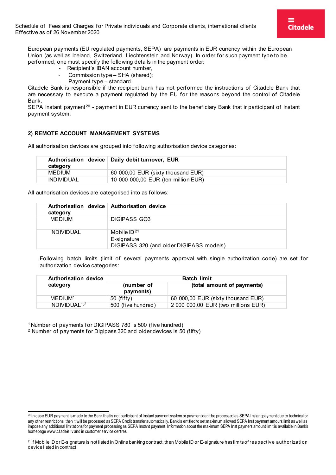Schedule of Fees and Charges for Private individuals and Corporate clients, international clients Effective as of 26 November 2020

European payments (EU regulated payments, SEPA) are payments in EUR currency within the European Union (as well as Iceland, Switzerland, Liechtenstein and Norway). In order for such payment type to be performed, one must specify the following details in the payment order:

- Recipient's IBAN account number,
- Commission type SHA (shared);
- Payment type standard.

Citadele Bank is responsible if the recipient bank has not performed the instructions of Citadele Bank that are necessary to execute a payment regulated by the EU for the reasons beyond the control of Citadele Bank.

SEPA Instant payment<sup>[20](#page-9-0)</sup> - payment in EUR currency sent to the beneficiary Bank that ir participant of Instant payment system.

#### **2) REMOTE ACCOUNT MANAGEMENT SYSTEMS**

All authorisation devices are grouped into following authorisation device categories:

| category          | Authorisation device   Daily debit turnover, EUR |
|-------------------|--------------------------------------------------|
| <b>MEDIUM</b>     | 60 000,00 EUR (sixty thousand EUR)               |
| <b>INDIVIDUAL</b> | 10 000 000,00 EUR (ten million EUR)              |

All authorisation devices are categorised into as follows:

| Authorisation device Authorisation device<br>category |                                                                             |
|-------------------------------------------------------|-----------------------------------------------------------------------------|
| <b>MEDIUM</b>                                         | DIGIPASS GO3                                                                |
| <b>INDIVIDUAL</b>                                     | Mobile $ID^{21}$<br>E-signature<br>DIGIPASS 320 (and older DIGIPASS models) |

Following batch limits (limit of several payments approval with single authorization code) are set for authorization device categories:

| <b>Authorisation device</b> | <b>Batch limit</b>      |                                     |  |
|-----------------------------|-------------------------|-------------------------------------|--|
| category                    | (number of<br>payments) | (total amount of payments)          |  |
| MEDIJM <sup>1</sup>         | $50$ (fifty)            | 60 000,00 EUR (sixty thousand EUR)  |  |
| INDIVIDUAL <sup>1,2</sup>   | 500 (five hundred)      | 2 000 000,00 EUR (two millions EUR) |  |

1 Number of payments for DIGIPASS 780 is 500 (five hundred)

<sup>2</sup> Number of payments for Digipass 320 and older devices is 50 (fifty)

<span id="page-9-0"></span><sup>20</sup> In case EUR payment is made to the Bank that is not participant of Instant payment system or payment can't be processed as SEPA Instant payment due to technical or any other restrictions, then it will be processed as SEPA Credit transfer automatically. Bank is entitled to set maximum allowed SEPA Inst payment amount limit as well as impose any additional limitations for payment processing as SEPA Instant payment. Information about the maximum SEPA Inst payment amount limit is available in Bank's homepage www.citadele.lv and in customer service centres.

<span id="page-9-1"></span><sup>&</sup>lt;sup>21</sup> If Mobile ID or E-signature is not listed in Online banking contract, then Mobile ID or E-signature has limits of respective authorization device listed in contract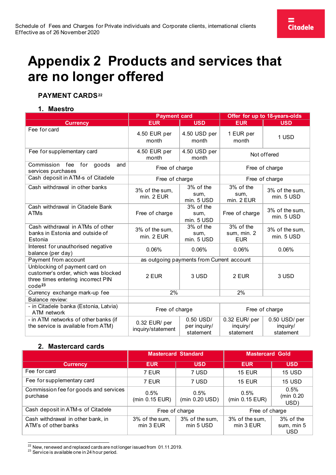# <span id="page-10-0"></span>**Appendix 2 Products and services that are no longer offered**

#### **PAYMENT CARDS[22](#page-10-1)**

#### **1. Maestro**

|                                                                                                                           | <b>Payment card</b>                |                                           | Offer for up to 18-years-olds          |                                       |
|---------------------------------------------------------------------------------------------------------------------------|------------------------------------|-------------------------------------------|----------------------------------------|---------------------------------------|
| <b>Currency</b>                                                                                                           | <b>EUR</b>                         | <b>USD</b>                                | <b>EUR</b>                             | <b>USD</b>                            |
| Fee for card                                                                                                              | 4.50 EUR per<br>month              | 4.50 USD per<br>month                     | 1 EUR per<br>month                     | 1 USD                                 |
| Fee for supplementary card                                                                                                | 4.50 EUR per<br>month              | 4.50 USD per<br>month                     |                                        | Not offered                           |
| Commission fee<br>for<br>goods<br>and<br>services purchases                                                               | Free of charge                     |                                           |                                        | Free of charge                        |
| Cash deposit in ATM-s of Citadele                                                                                         | Free of charge                     |                                           |                                        | Free of charge                        |
| Cash withdrawal in other banks                                                                                            | 3% of the sum.<br>min. 2 EUR       | 3% of the<br>sum,<br>min. 5 USD           | 3% of the<br>sum,<br>min. 2 EUR        | 3% of the sum,<br>min. 5 USD          |
| Cash withdrawal in Citadele Bank<br><b>ATMs</b>                                                                           | Free of charge                     | 3% of the<br>sum,<br>min. 5 USD           | Free of charge                         | 3% of the sum,<br>min. 5 USD          |
| Cash withdrawal in ATMs of other<br>banks in Estonia and outside of<br>Estonia                                            | 3% of the sum,<br>min. 2 EUR       | 3% of the<br>sum,<br>min. 5 USD           | 3% of the<br>sum, min. 2<br><b>EUR</b> | 3% of the sum,<br>min. 5 USD          |
| Interest for unauthorised negative<br>balance (per day)                                                                   | 0.06%                              | 0.06%                                     | 0.06%                                  | 0.06%                                 |
| Payment from account                                                                                                      |                                    | as outgoing payments from Current account |                                        |                                       |
| Unblocking of payment card on<br>customer's order, which was blocked<br>three times entering incorrect PIN<br>$code^{23}$ | 2 EUR                              | 3 USD                                     | 2 EUR                                  | 3 USD                                 |
| Currency exchange mark-up fee                                                                                             | 2%                                 |                                           | 2%                                     |                                       |
| Balance review:                                                                                                           |                                    |                                           |                                        |                                       |
| - in Citadele banka (Estonia, Latvia)<br>ATM network                                                                      | Free of charge                     |                                           |                                        | Free of charge                        |
| - in ATM networks of other banks (if<br>the service is available from ATM)                                                | 0.32 EUR/ per<br>inquiry/statement | $0.50$ USD/<br>per inquiry/<br>statement  | 0.32 EUR/ per<br>inquiry/<br>statement | 0.50 USD/per<br>inquiry/<br>statement |

#### **2. Mastercard cards**

|                                                           | <b>Mastercard Standard</b>  |                             | <b>Mastercard Gold</b>      |                                       |
|-----------------------------------------------------------|-----------------------------|-----------------------------|-----------------------------|---------------------------------------|
| <b>Currency</b>                                           | <b>EUR</b>                  | <b>USD</b>                  | <b>EUR</b>                  | <b>USD</b>                            |
| Fee for card                                              | 7 EUR                       | 7 USD                       | <b>15 EUR</b>               | 15 USD                                |
| Fee for supplementary card                                | 7 EUR                       | 7 USD                       | <b>15 EUR</b>               | 15 USD                                |
| Commission fee for goods and services<br>purchase         | 0.5%<br>(min 0.15 EUR)      | 0.5%<br>(min 0.20 USD)      | 0.5%<br>(min 0.15 EUR)      | 0.5%<br>(min 0.20<br>USD)             |
| Cash deposit in ATM-s of Citadele                         | Free of charge              |                             | Free of charge              |                                       |
| Cash withdrawal in other bank, in<br>ATM's of other banks | 3% of the sum,<br>min 3 EUR | 3% of the sum,<br>min 5 USD | 3% of the sum,<br>min 3 EUR | 3% of the<br>sum, min 5<br><b>USD</b> |

<span id="page-10-2"></span><span id="page-10-1"></span><sup>22</sup> New, renewed and replaced cards are not longer issued from 01.11.2019.<br><sup>23</sup> Service is available one in 24 hour period.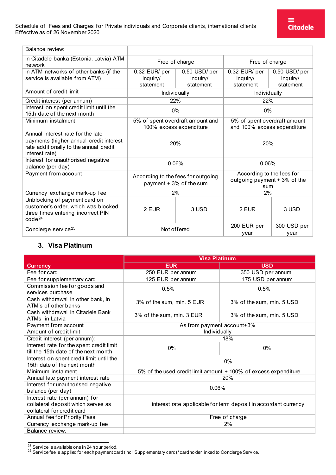| Balance review:                                                                                                                          |                                                               |                       |                                                                  |                       |
|------------------------------------------------------------------------------------------------------------------------------------------|---------------------------------------------------------------|-----------------------|------------------------------------------------------------------|-----------------------|
| in Citadele banka (Estonia, Latvia) ATM<br>network                                                                                       | Free of charge                                                |                       | Free of charge                                                   |                       |
| in ATM networks of other banks (if the                                                                                                   | 0.32 EUR/ per                                                 | 0.50 USD/per          | 0.32 EUR/ per                                                    | 0.50 USD/per          |
| service is available from ATM)                                                                                                           | inquiry/<br>statement                                         | inquiry/<br>statement | inquiry/<br>statement                                            | inquiry/<br>statement |
| Amount of credit limit                                                                                                                   | Individually                                                  |                       | Individually                                                     |                       |
| Credit interest (per annum)                                                                                                              | 22%                                                           |                       | 22%                                                              |                       |
| Interest on spent credit limit until the<br>15th date of the next month                                                                  | $0\%$                                                         |                       | $0\%$                                                            |                       |
| Minimum instalment                                                                                                                       | 5% of spent overdraft amount and<br>100% excess expenditure   |                       | 5% of spent overdraft amount<br>and 100% excess expenditure      |                       |
| Annual interest rate for the late<br>payments (higher annual credit interest<br>rate additionally to the annual credit<br>interest rate) | 20%                                                           |                       | 20%                                                              |                       |
| Interest for unauthorised negative<br>balance (per day)                                                                                  | 0.06%                                                         |                       | 0.06%                                                            |                       |
| Payment from account                                                                                                                     | According to the fees for outgoing<br>payment + 3% of the sum |                       | According to the fees for<br>outgoing payment + 3% of the<br>sum |                       |
| Currency exchange mark-up fee                                                                                                            | 2%                                                            |                       | 2%                                                               |                       |
| Unblocking of payment card on<br>customer's order, which was blocked<br>three times entering incorrect PIN<br>$code^{24}$                | 2 EUR                                                         | 3 USD                 | 2 EUR                                                            | 3 USD                 |
| Concierge service <sup>25</sup>                                                                                                          | Not offered                                                   |                       | 200 EUR per<br>year                                              | 300 USD per<br>year   |

### **3. Visa Platinum**

|                                                                                                   | <b>Visa Platinum</b>                                            |                           |  |
|---------------------------------------------------------------------------------------------------|-----------------------------------------------------------------|---------------------------|--|
| <b>Currency</b>                                                                                   | <b>EUR</b>                                                      | <b>USD</b>                |  |
| Fee for card                                                                                      | 250 EUR per annum                                               | 350 USD per annum         |  |
| Fee for supplementary card                                                                        | 125 EUR per annum                                               | 175 USD per annum         |  |
| Commission fee for goods and<br>services purchase                                                 | 0.5%                                                            | 0.5%                      |  |
| Cash withdrawal in other bank, in<br>ATM's of other banks                                         | 3% of the sum, min. 5 EUR                                       | 3% of the sum, min. 5 USD |  |
| Cash withdrawal in Citadele Bank<br>ATMs in Latvia                                                | 3% of the sum, min. 3 EUR                                       | 3% of the sum, min. 5 USD |  |
| Payment from account                                                                              | As from payment account+3%                                      |                           |  |
| Amount of credit limit                                                                            | Individually                                                    |                           |  |
| Credit interest (per annum):                                                                      |                                                                 | 18%                       |  |
| Interest rate for the spent credit limit<br>till the 15th date of the next month                  | 0%                                                              | 0%                        |  |
| Interest on spent credit limit until the<br>15th date of the next month                           | 0%                                                              |                           |  |
| Minimum instalment                                                                                | 5% of the used credit limit amount + 100% of excess expenditure |                           |  |
| Annual late payment interest rate                                                                 |                                                                 | 20%                       |  |
| Interest for unauthorised negative<br>balance (per day)                                           | 0.06%                                                           |                           |  |
| Interest rate (per annum) for<br>collateral deposit which serves as<br>collateral for credit card | interest rate applicable for term deposit in accordant currency |                           |  |
| Annual fee for Priority Pass                                                                      | Free of charge                                                  |                           |  |
| Currency exchange mark-up fee                                                                     | 2%                                                              |                           |  |
| Balance review:                                                                                   |                                                                 |                           |  |

<span id="page-11-1"></span><span id="page-11-0"></span><sup>24</sup> Service is available one in 24 hour period.<br><sup>25</sup> Service fee is applied for each payment card (incl. Supplementary card) / cardholder linked to Concierge Service.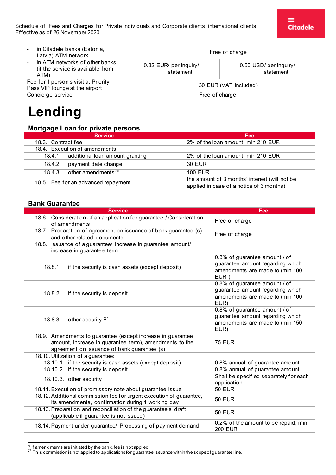| in Citadele banka (Estonia,<br>$\sim 100$<br>Latvia) ATM network                          | Free of charge                      |                                     |
|-------------------------------------------------------------------------------------------|-------------------------------------|-------------------------------------|
| in ATM networks of other banks<br>$\sim 100$<br>(if the service is available from<br>ATM) | 0.32 EUR/ per inquiry/<br>statement | 0.50 USD/ per inquiry/<br>statement |
| Fee for 1 person's visit at Priority<br>Pass VIP lounge at the airport                    | 30 EUR (VAT included)               |                                     |
| Concierge service                                                                         | Free of charge                      |                                     |

# **Lending**

#### **Mortgage Loan for private persons**

| <b>Service</b>                          | Fee                                                                                       |
|-----------------------------------------|-------------------------------------------------------------------------------------------|
| 18.3. Contract fee                      | 2% of the loan amount, min 210 EUR                                                        |
| 18.4. Execution of amendments:          |                                                                                           |
| 18.4.1. additional loan amount granting | 2% of the loan amount, min 210 EUR                                                        |
| payment date change<br>18.4.2.          | 30 EUR                                                                                    |
| 18.4.3. other amendments $26$           | <b>100 EUR</b>                                                                            |
| 18.5. Fee for an advanced repayment     | the amount of 3 months' interest (will not be<br>applied in case of a notice of 3 months) |

#### **Bank Guarantee**

| <b>Service</b>                                                                                                                                                       | Fee                                                                                                          |
|----------------------------------------------------------------------------------------------------------------------------------------------------------------------|--------------------------------------------------------------------------------------------------------------|
| 18.6. Consideration of an application for guarantee / Consideration<br>of amendments                                                                                 | Free of charge                                                                                               |
| 18.7. Preparation of agreement on issuance of bank guarantee (s)<br>and other related documents                                                                      | Free of charge                                                                                               |
| 18.8. Issuance of a guarantee/ increase in guarantee amount/<br>increase in guarantee term:                                                                          |                                                                                                              |
| 18.8.1.<br>if the security is cash assets (except deposit)                                                                                                           | 0.3% of guarantee amount / of<br>guarantee amount regarding which<br>amendments are made to (min 100<br>EUR) |
| 18.8.2.<br>if the security is deposit                                                                                                                                | 0.8% of guarantee amount / of<br>guarantee amount regarding which<br>amendments are made to (min 100<br>EUR) |
| other security 27<br>18.8.3.                                                                                                                                         | 0.8% of guarantee amount / of<br>guarantee amount regarding which<br>amendments are made to (min 150<br>EUR) |
| 18.9. Amendments to guarantee (except increase in guarantee<br>amount, increase in guarantee term), amendments to the<br>agreement on issuance of bank guarantee (s) | <b>75 EUR</b>                                                                                                |
| 18.10. Utilization of a guarantee:                                                                                                                                   |                                                                                                              |
| 18.10.1. if the security is cash assets (except deposit)                                                                                                             | 0.8% annual of guarantee amount                                                                              |
| 18.10.2. if the security is deposit                                                                                                                                  | 0.8% annual of guarantee amount                                                                              |
| 18.10.3. other security                                                                                                                                              | Shall be specified separately for each<br>application                                                        |
| 18.11. Execution of promissory note about guarantee issue                                                                                                            | <b>50 EUR</b>                                                                                                |
| 18.12. Additional commission fee for urgent execution of guarantee,<br>its amendments, confirmation during 1 working day                                             | <b>50 EUR</b>                                                                                                |
| 18.13. Preparation and reconciliation of the guarantee's draft<br>(applicable if guarantee is not issued)                                                            | <b>50 EUR</b>                                                                                                |
| 18.14. Payment under guarantee/ Processing of payment demand                                                                                                         | 0.2% of the amount to be repaid, min<br><b>200 EUR</b>                                                       |

<span id="page-12-1"></span><span id="page-12-0"></span> $^{26}$  If amendments are initiated by the bank, fee is not applied.<br><sup>27</sup> This commission is not applied to applications for guarantee issuance within the scope of guarantee line.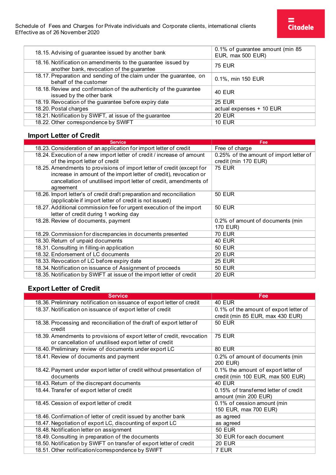| 18.15. Advising of guarantee issued by another bank                                                       | 0.1% of guarantee amount (min 85<br>EUR, max 500 EUR) |
|-----------------------------------------------------------------------------------------------------------|-------------------------------------------------------|
| 18.16. Notification on amendments to the guarantee issued by<br>another bank, revocation of the guarantee | <b>75 EUR</b>                                         |
| 18.17. Preparation and sending of the claim under the guarantee, on<br>behalf of the customer             | 0.1%, min 150 EUR                                     |
| 18.18. Review and confirmation of the authenticity of the guarantee<br>issued by the other bank           | <b>40 EUR</b>                                         |
| 18.19. Revocation of the guarantee before expiry date                                                     | <b>25 EUR</b>                                         |
| 18.20. Postal charges                                                                                     | actual expenses + 10 EUR                              |
| 18.21. Notification by SWIFT, at issue of the guarantee                                                   | <b>20 EUR</b>                                         |
| 18.22. Other correspondence by SWIFT                                                                      | <b>10 EUR</b>                                         |

#### **Import Letter of Credit**

| <b>Service</b>                                                         | Fee                                     |
|------------------------------------------------------------------------|-----------------------------------------|
| 18.23. Consideration of an application for import letter of credit     | Free of charge                          |
| 18.24. Execution of a new import letter of credit / increase of amount | 0.25% of the amount of import letter of |
| of the import letter of credit                                         | credit (min 170 EUR)                    |
| 18.25. Amendments to provisions of import letter of credit (except for | <b>75 EUR</b>                           |
| increase in amount of the import letter of credit), revocation or      |                                         |
| cancellation of unutilised import letter of credit, amendments of      |                                         |
| agreement                                                              |                                         |
| 18.26. Import letter's of credit draft preparation and reconciliation  | <b>50 EUR</b>                           |
| (applicable if import letter of credit is not issued)                  |                                         |
| 18.27. Additional commission fee for urgent execution of the import    | <b>50 EUR</b>                           |
| letter of credit during 1 working day                                  |                                         |
| 18.28. Review of documents, payment                                    | 0.2% of amount of documents (min        |
|                                                                        | 170 EUR)                                |
| 18.29. Commission for discrepancies in documents presented             | 70 EUR                                  |
| 18.30. Return of unpaid documents                                      | 40 EUR                                  |
| 18.31. Consulting in filling-in application                            | <b>50 EUR</b>                           |
| 18.32. Endorsement of LC documents                                     | <b>20 EUR</b>                           |
| 18.33. Revocation of LC before expiry date                             | <b>25 EUR</b>                           |
| 18.34. Notification on issuance of Assignment of proceeds              | <b>50 EUR</b>                           |
| 18.35. Notification by SWIFT at issue of the import letter of credit   | <b>20 EUR</b>                           |

### **Export Letter of Credit**

| <b>Service</b>                                                                                                                  | <b>Fee</b>                                                    |
|---------------------------------------------------------------------------------------------------------------------------------|---------------------------------------------------------------|
| 18.36. Preliminary notification on issuance of export letter of credit                                                          | <b>40 EUR</b>                                                 |
| 18.37. Notification on issuance of export letter of credit                                                                      | 0.1% of the amount of export letter of                        |
|                                                                                                                                 | credit (min 85 EUR, max 430 EUR)                              |
| 18.38. Processing and reconciliation of the draft of export letter of<br>credit                                                 | <b>50 EUR</b>                                                 |
| 18.39. Amendments to provisions of export letter of credit, revocation<br>or cancellation of unutilised export letter of credit | <b>75 EUR</b>                                                 |
| 18.40. Preliminary review of documents under export LC                                                                          | <b>80 EUR</b>                                                 |
| 18.41. Review of documents and payment                                                                                          | 0.2% of amount of documents (min                              |
|                                                                                                                                 | 200 EUR)                                                      |
| 18.42. Payment under export letter of credit without presentation of                                                            | 0.1% the amount of export letter of                           |
| documents                                                                                                                       | credit (min 100 EUR, max 500 EUR)                             |
| 18.43. Return of the discrepant documents                                                                                       | <b>40 EUR</b>                                                 |
| 18.44. Transfer of export letter of credit                                                                                      | 0.15% of transferred letter of credit<br>amount (min 200 EUR) |
| 18.45. Cession of export letter of credit                                                                                       | 0.1% of cession amount (min                                   |
|                                                                                                                                 | 150 EUR, max 700 EUR)                                         |
| 18.46. Confirmation of letter of credit issued by another bank                                                                  | as agreed                                                     |
| 18.47. Negotiation of export LC, discounting of export LC                                                                       | as agreed                                                     |
| 18.48. Notification letter on assignment                                                                                        | <b>50 EUR</b>                                                 |
| 18.49. Consulting in preparation of the documents                                                                               | 30 EUR for each document                                      |
| 18.50. Notification by SWIFT on transfer of export letter of credit                                                             | <b>20 EUR</b>                                                 |
| 18.51. Other notification/correspondence by SWIFT                                                                               | 7 EUR                                                         |